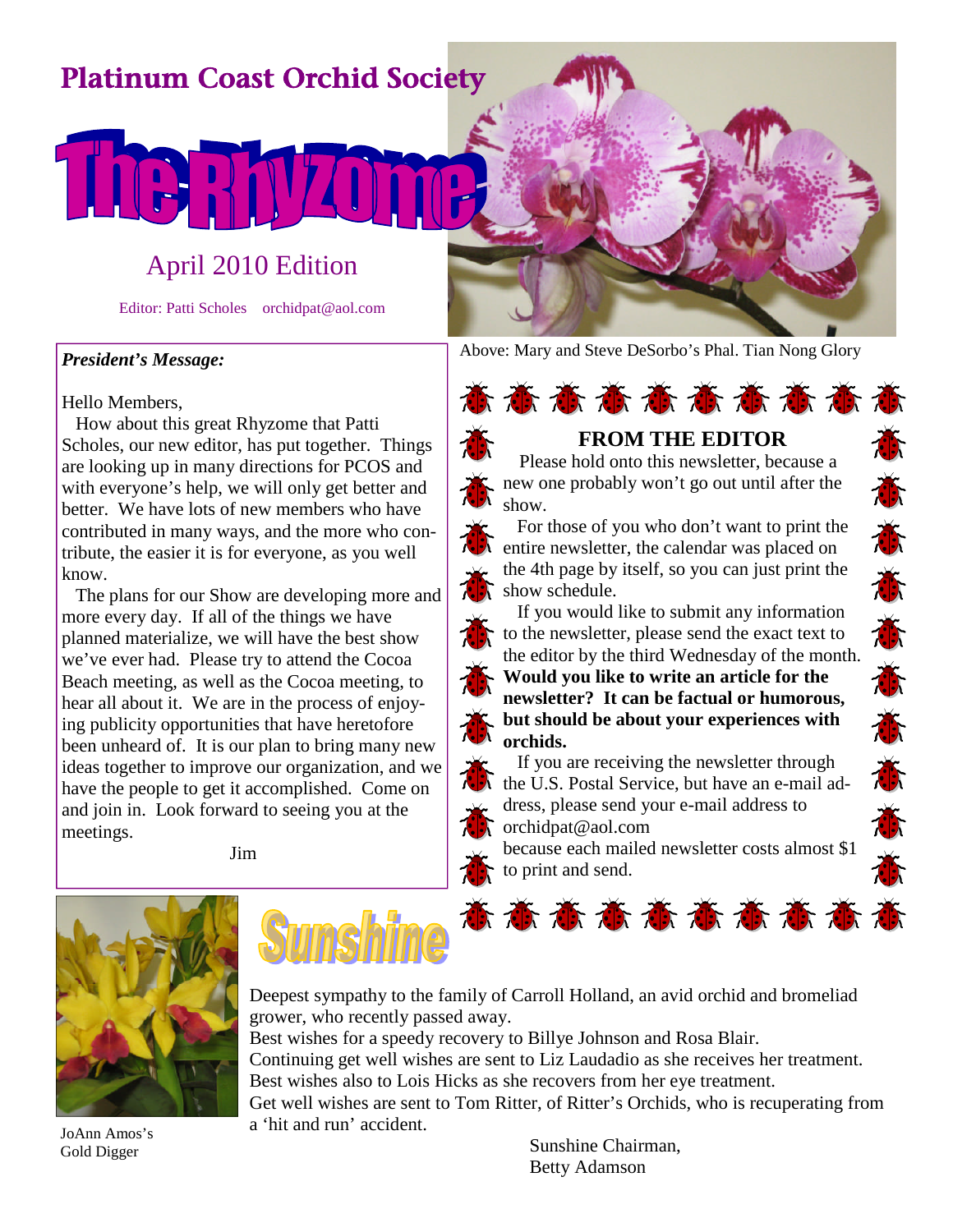# Platinum Coast Orchid Society

## April 2010 Edition

Editor: Patti Scholes orchidpat@aol.com

#### *President's Message:*

#### Hello Members,

How about this great Rhyzome that Patti Scholes, our new editor, has put together. Things are looking up in many directions for PCOS and with everyone's help, we will only get better and better. We have lots of new members who have contributed in many ways, and the more who contribute, the easier it is for everyone, as you well know.

The plans for our Show are developing more and more every day. If all of the things we have planned materialize, we will have the best show we've ever had. Please try to attend the Cocoa Beach meeting, as well as the Cocoa meeting, to hear all about it. We are in the process of enjoying publicity opportunities that have heretofore been unheard of. It is our plan to bring many new ideas together to improve our organization, and we have the people to get it accomplished. Come on and join in. Look forward to seeing you at the meetings.

Jim



Above: Mary and Steve DeSorbo's Phal. Tian Nong Glory



If you would like to submit any information to the newsletter, please send the exact text to the editor by the third Wednesday of the month. **Would you like to write an article for the newsletter? It can be factual or humorous, but should be about your experiences with orchids.**

If you are receiving the newsletter through the U.S. Postal Service, but have an e-mail ad-<br>dress, please send your e-mail address to<br>orchidpat@aol.com<br>because each mailed newsletter costs almost \$1<br>to print and send. dress, please send your e-mail address to orchidpat@aol.com

because each mailed newsletter costs almost \$1 to print and send.



JoAnn Amos's Gold Digger



Deepest sympathy to the family of Carroll Holland, an avid orchid and bromeliad grower, who recently passed away. Best wishes for a speedy recovery to Billye Johnson and Rosa Blair. Continuing get well wishes are sent to Liz Laudadio as she receives her treatment. Best wishes also to Lois Hicks as she recovers from her eye treatment.

Get well wishes are sent to Tom Ritter, of Ritter's Orchids, who is recuperating from a 'hit and run' accident.

Sunshine Chairman, Betty Adamson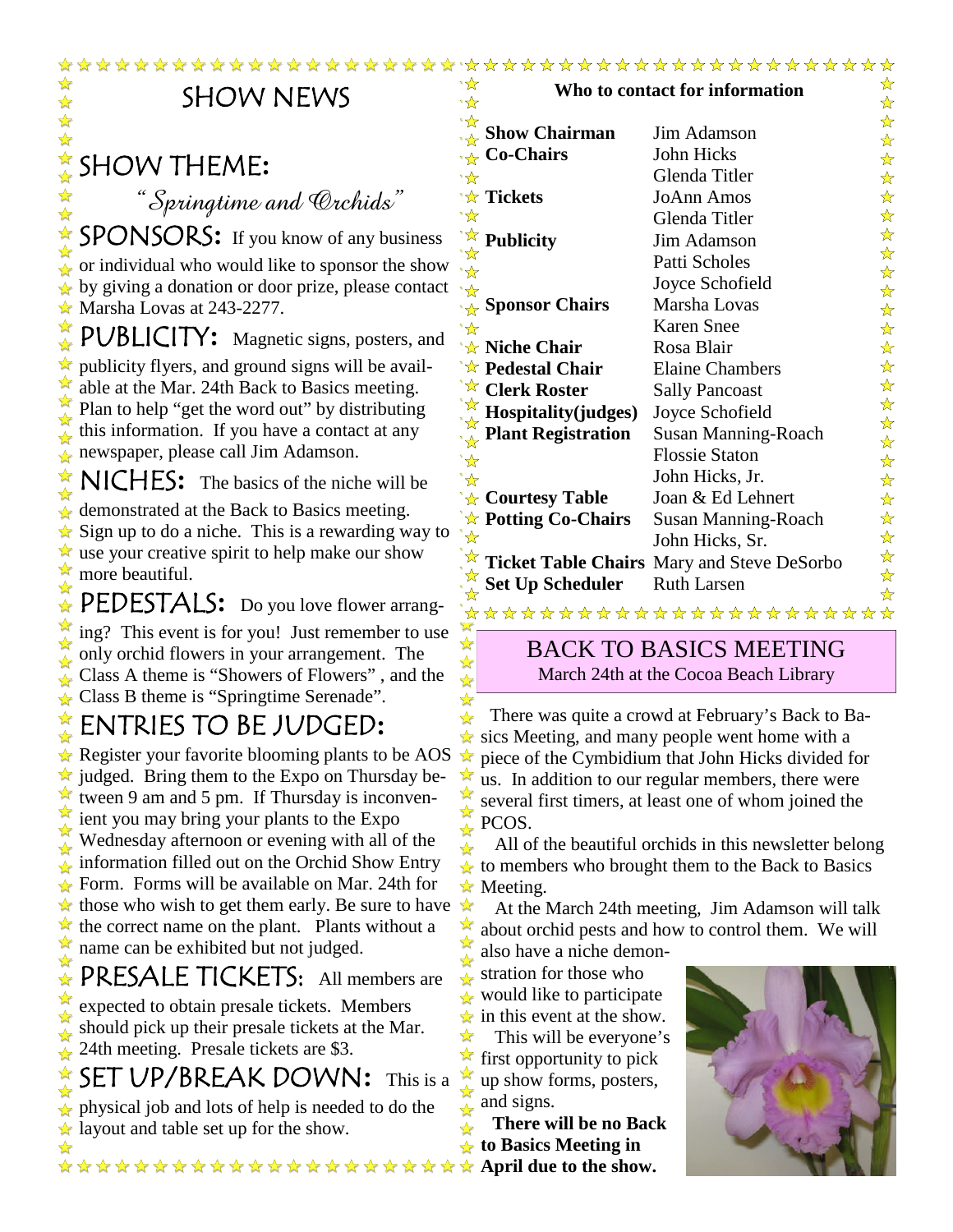| <b>Show Chairman</b><br>Jim Adamson<br><b>Co-Chairs</b><br>John Hicks<br><b>SHOW THEME:</b><br>Glenda Titler<br>*≴′<br>'☆ Tickets<br><b>JoAnn Amos</b><br>"Springtime and Crchids"<br>*☆<br>Glenda Titler<br>SPONSORS: If you know of any business<br>` <sup>☆</sup> Publicity<br>Jim Adamson<br>' द्वी<br>Patti Scholes<br>or individual who would like to sponsor the show<br>$\sqrt[3]{x}$<br>Joyce Schofield<br>$\star$ by giving a donation or door prize, please contact<br>$\mathbf{r}$<br>Marsha Lovas<br>√ <sub>☆</sub> Sponsor Chairs<br>$\star$ Marsha Lovas at 243-2277.<br><b>Karen Snee</b><br>$\sqrt[3]{x}$<br>PUBLICITY: Magnetic signs, posters, and<br>'☆ Niche Chair<br>Rosa Blair<br>$\star$ publicity flyers, and ground signs will be avail-<br>'☆ Pedestal Chair<br><b>Elaine Chambers</b><br>' द्रे<br>able at the Mar. 24th Back to Basics meeting.<br><b>Clerk Roster</b><br><b>Sally Pancoast</b><br>Plan to help "get the word out" by distributing<br>Hospitality(judges)<br>Joyce Schofield<br>this information. If you have a contact at any<br><b>Plant Registration</b><br><b>Susan Manning-Roach</b><br>newspaper, please call Jim Adamson.<br><b>Flossie Staton</b><br>ैद्र<br>John Hicks, Jr.<br>$\frac{1}{\sqrt{2}}$ NICHES: The basics of the niche will be<br><u>'☆</u><br>$\&$ Courtesy Table<br>Joan & Ed Lehnert<br>demonstrated at the Back to Basics meeting.<br>$\overleftrightarrow{\mathbf{x}}$ Potting Co-Chairs<br><b>Susan Manning-Roach</b> | ☆<br>☆<br>☆<br>☆<br>☆<br>☆<br>☆<br>$\frac{1}{\mathbf{k}^{\prime}}$<br>☆<br>$\frac{1}{\mathbf{k}}$<br>☆<br>☆<br>☆<br>☆<br>☆<br>$\frac{1}{\sqrt{2}}$<br>☆<br>☆ |  |  |
|------------------------------------------------------------------------------------------------------------------------------------------------------------------------------------------------------------------------------------------------------------------------------------------------------------------------------------------------------------------------------------------------------------------------------------------------------------------------------------------------------------------------------------------------------------------------------------------------------------------------------------------------------------------------------------------------------------------------------------------------------------------------------------------------------------------------------------------------------------------------------------------------------------------------------------------------------------------------------------------------------------------------------------------------------------------------------------------------------------------------------------------------------------------------------------------------------------------------------------------------------------------------------------------------------------------------------------------------------------------------------------------------------------------------------------------------------------------------------------------------|--------------------------------------------------------------------------------------------------------------------------------------------------------------|--|--|
|                                                                                                                                                                                                                                                                                                                                                                                                                                                                                                                                                                                                                                                                                                                                                                                                                                                                                                                                                                                                                                                                                                                                                                                                                                                                                                                                                                                                                                                                                                |                                                                                                                                                              |  |  |
|                                                                                                                                                                                                                                                                                                                                                                                                                                                                                                                                                                                                                                                                                                                                                                                                                                                                                                                                                                                                                                                                                                                                                                                                                                                                                                                                                                                                                                                                                                |                                                                                                                                                              |  |  |
|                                                                                                                                                                                                                                                                                                                                                                                                                                                                                                                                                                                                                                                                                                                                                                                                                                                                                                                                                                                                                                                                                                                                                                                                                                                                                                                                                                                                                                                                                                |                                                                                                                                                              |  |  |
|                                                                                                                                                                                                                                                                                                                                                                                                                                                                                                                                                                                                                                                                                                                                                                                                                                                                                                                                                                                                                                                                                                                                                                                                                                                                                                                                                                                                                                                                                                |                                                                                                                                                              |  |  |
|                                                                                                                                                                                                                                                                                                                                                                                                                                                                                                                                                                                                                                                                                                                                                                                                                                                                                                                                                                                                                                                                                                                                                                                                                                                                                                                                                                                                                                                                                                |                                                                                                                                                              |  |  |
|                                                                                                                                                                                                                                                                                                                                                                                                                                                                                                                                                                                                                                                                                                                                                                                                                                                                                                                                                                                                                                                                                                                                                                                                                                                                                                                                                                                                                                                                                                |                                                                                                                                                              |  |  |
|                                                                                                                                                                                                                                                                                                                                                                                                                                                                                                                                                                                                                                                                                                                                                                                                                                                                                                                                                                                                                                                                                                                                                                                                                                                                                                                                                                                                                                                                                                |                                                                                                                                                              |  |  |
|                                                                                                                                                                                                                                                                                                                                                                                                                                                                                                                                                                                                                                                                                                                                                                                                                                                                                                                                                                                                                                                                                                                                                                                                                                                                                                                                                                                                                                                                                                |                                                                                                                                                              |  |  |
|                                                                                                                                                                                                                                                                                                                                                                                                                                                                                                                                                                                                                                                                                                                                                                                                                                                                                                                                                                                                                                                                                                                                                                                                                                                                                                                                                                                                                                                                                                |                                                                                                                                                              |  |  |
|                                                                                                                                                                                                                                                                                                                                                                                                                                                                                                                                                                                                                                                                                                                                                                                                                                                                                                                                                                                                                                                                                                                                                                                                                                                                                                                                                                                                                                                                                                |                                                                                                                                                              |  |  |
|                                                                                                                                                                                                                                                                                                                                                                                                                                                                                                                                                                                                                                                                                                                                                                                                                                                                                                                                                                                                                                                                                                                                                                                                                                                                                                                                                                                                                                                                                                |                                                                                                                                                              |  |  |
|                                                                                                                                                                                                                                                                                                                                                                                                                                                                                                                                                                                                                                                                                                                                                                                                                                                                                                                                                                                                                                                                                                                                                                                                                                                                                                                                                                                                                                                                                                |                                                                                                                                                              |  |  |
|                                                                                                                                                                                                                                                                                                                                                                                                                                                                                                                                                                                                                                                                                                                                                                                                                                                                                                                                                                                                                                                                                                                                                                                                                                                                                                                                                                                                                                                                                                |                                                                                                                                                              |  |  |
|                                                                                                                                                                                                                                                                                                                                                                                                                                                                                                                                                                                                                                                                                                                                                                                                                                                                                                                                                                                                                                                                                                                                                                                                                                                                                                                                                                                                                                                                                                |                                                                                                                                                              |  |  |
|                                                                                                                                                                                                                                                                                                                                                                                                                                                                                                                                                                                                                                                                                                                                                                                                                                                                                                                                                                                                                                                                                                                                                                                                                                                                                                                                                                                                                                                                                                |                                                                                                                                                              |  |  |
|                                                                                                                                                                                                                                                                                                                                                                                                                                                                                                                                                                                                                                                                                                                                                                                                                                                                                                                                                                                                                                                                                                                                                                                                                                                                                                                                                                                                                                                                                                | ☆<br>☆                                                                                                                                                       |  |  |
|                                                                                                                                                                                                                                                                                                                                                                                                                                                                                                                                                                                                                                                                                                                                                                                                                                                                                                                                                                                                                                                                                                                                                                                                                                                                                                                                                                                                                                                                                                | ☆                                                                                                                                                            |  |  |
|                                                                                                                                                                                                                                                                                                                                                                                                                                                                                                                                                                                                                                                                                                                                                                                                                                                                                                                                                                                                                                                                                                                                                                                                                                                                                                                                                                                                                                                                                                | ☆                                                                                                                                                            |  |  |
| $\star$ Sign up to do a niche. This is a rewarding way to<br>'☆<br>John Hicks, Sr.                                                                                                                                                                                                                                                                                                                                                                                                                                                                                                                                                                                                                                                                                                                                                                                                                                                                                                                                                                                                                                                                                                                                                                                                                                                                                                                                                                                                             | ☆                                                                                                                                                            |  |  |
| $\star$ use your creative spirit to help make our show<br>Ticket Table Chairs Mary and Steve DeSorbo                                                                                                                                                                                                                                                                                                                                                                                                                                                                                                                                                                                                                                                                                                                                                                                                                                                                                                                                                                                                                                                                                                                                                                                                                                                                                                                                                                                           | $\frac{\lambda}{\lambda}$                                                                                                                                    |  |  |
| $\mathbf{r}$<br>more beautiful.<br><b>Set Up Scheduler</b><br><b>Ruth Larsen</b>                                                                                                                                                                                                                                                                                                                                                                                                                                                                                                                                                                                                                                                                                                                                                                                                                                                                                                                                                                                                                                                                                                                                                                                                                                                                                                                                                                                                               | $\frac{1}{\sqrt{2}}$                                                                                                                                         |  |  |
| PEDESTALS: Do you love flower arrang-<br>***********************                                                                                                                                                                                                                                                                                                                                                                                                                                                                                                                                                                                                                                                                                                                                                                                                                                                                                                                                                                                                                                                                                                                                                                                                                                                                                                                                                                                                                               | ☆                                                                                                                                                            |  |  |
| $\mathbf{v}$<br>ing? This event is for you! Just remember to use<br>☆<br><b>BACK TO BASICS MEETING</b>                                                                                                                                                                                                                                                                                                                                                                                                                                                                                                                                                                                                                                                                                                                                                                                                                                                                                                                                                                                                                                                                                                                                                                                                                                                                                                                                                                                         |                                                                                                                                                              |  |  |
| only orchid flowers in your arrangement. The<br>$\mathbf{r}$                                                                                                                                                                                                                                                                                                                                                                                                                                                                                                                                                                                                                                                                                                                                                                                                                                                                                                                                                                                                                                                                                                                                                                                                                                                                                                                                                                                                                                   |                                                                                                                                                              |  |  |
| March 24th at the Cocoa Beach Library<br>Class A theme is "Showers of Flowers", and the<br>☆                                                                                                                                                                                                                                                                                                                                                                                                                                                                                                                                                                                                                                                                                                                                                                                                                                                                                                                                                                                                                                                                                                                                                                                                                                                                                                                                                                                                   |                                                                                                                                                              |  |  |
| $\triangle$ Class B theme is "Springtime Serenade".<br>There was quite a crowd at February's Back to Ba-                                                                                                                                                                                                                                                                                                                                                                                                                                                                                                                                                                                                                                                                                                                                                                                                                                                                                                                                                                                                                                                                                                                                                                                                                                                                                                                                                                                       |                                                                                                                                                              |  |  |
| ENTRIES TO BE JUDGED:<br>$\star$ sics Meeting, and many people went home with a                                                                                                                                                                                                                                                                                                                                                                                                                                                                                                                                                                                                                                                                                                                                                                                                                                                                                                                                                                                                                                                                                                                                                                                                                                                                                                                                                                                                                |                                                                                                                                                              |  |  |
| $\star$ Register your favorite blooming plants to be AOS<br>piece of the Cymbidium that John Hicks divided for<br>$\frac{1}{2}$                                                                                                                                                                                                                                                                                                                                                                                                                                                                                                                                                                                                                                                                                                                                                                                                                                                                                                                                                                                                                                                                                                                                                                                                                                                                                                                                                                |                                                                                                                                                              |  |  |
| $\star$ judged. Bring them to the Expo on Thursday be-<br>us. In addition to our regular members, there were                                                                                                                                                                                                                                                                                                                                                                                                                                                                                                                                                                                                                                                                                                                                                                                                                                                                                                                                                                                                                                                                                                                                                                                                                                                                                                                                                                                   |                                                                                                                                                              |  |  |
| $\star$ tween 9 am and 5 pm. If Thursday is inconven-<br>several first timers, at least one of whom joined the                                                                                                                                                                                                                                                                                                                                                                                                                                                                                                                                                                                                                                                                                                                                                                                                                                                                                                                                                                                                                                                                                                                                                                                                                                                                                                                                                                                 |                                                                                                                                                              |  |  |
| <b>A</b><br>ient you may bring your plants to the Expo<br>PCOS.                                                                                                                                                                                                                                                                                                                                                                                                                                                                                                                                                                                                                                                                                                                                                                                                                                                                                                                                                                                                                                                                                                                                                                                                                                                                                                                                                                                                                                |                                                                                                                                                              |  |  |
| Wednesday afternoon or evening with all of the<br>All of the beautiful orchids in this newsletter belong                                                                                                                                                                                                                                                                                                                                                                                                                                                                                                                                                                                                                                                                                                                                                                                                                                                                                                                                                                                                                                                                                                                                                                                                                                                                                                                                                                                       |                                                                                                                                                              |  |  |
| information filled out on the Orchid Show Entry                                                                                                                                                                                                                                                                                                                                                                                                                                                                                                                                                                                                                                                                                                                                                                                                                                                                                                                                                                                                                                                                                                                                                                                                                                                                                                                                                                                                                                                | $\star$ to members who brought them to the Back to Basics                                                                                                    |  |  |
| $\star$ Form. Forms will be available on Mar. 24th for<br>$\star$ Meeting.                                                                                                                                                                                                                                                                                                                                                                                                                                                                                                                                                                                                                                                                                                                                                                                                                                                                                                                                                                                                                                                                                                                                                                                                                                                                                                                                                                                                                     |                                                                                                                                                              |  |  |
| $\star$ those who wish to get them early. Be sure to have<br>$\frac{1}{2}$                                                                                                                                                                                                                                                                                                                                                                                                                                                                                                                                                                                                                                                                                                                                                                                                                                                                                                                                                                                                                                                                                                                                                                                                                                                                                                                                                                                                                     | At the March 24th meeting, Jim Adamson will talk                                                                                                             |  |  |
| $\hat{X}$ the correct name on the plant. Plants without a<br>about orchid pests and how to control them. We will<br>☆<br>$\frac{1}{2}$                                                                                                                                                                                                                                                                                                                                                                                                                                                                                                                                                                                                                                                                                                                                                                                                                                                                                                                                                                                                                                                                                                                                                                                                                                                                                                                                                         |                                                                                                                                                              |  |  |
| name can be exhibited but not judged.<br>also have a niche demon-<br>☆                                                                                                                                                                                                                                                                                                                                                                                                                                                                                                                                                                                                                                                                                                                                                                                                                                                                                                                                                                                                                                                                                                                                                                                                                                                                                                                                                                                                                         |                                                                                                                                                              |  |  |
| PRESALE TICKETS: All members are<br>stration for those who                                                                                                                                                                                                                                                                                                                                                                                                                                                                                                                                                                                                                                                                                                                                                                                                                                                                                                                                                                                                                                                                                                                                                                                                                                                                                                                                                                                                                                     |                                                                                                                                                              |  |  |
| would like to participate<br>expected to obtain presale tickets. Members<br>$\star$ in this event at the show.                                                                                                                                                                                                                                                                                                                                                                                                                                                                                                                                                                                                                                                                                                                                                                                                                                                                                                                                                                                                                                                                                                                                                                                                                                                                                                                                                                                 |                                                                                                                                                              |  |  |
| should pick up their presale tickets at the Mar.<br>This will be everyone's                                                                                                                                                                                                                                                                                                                                                                                                                                                                                                                                                                                                                                                                                                                                                                                                                                                                                                                                                                                                                                                                                                                                                                                                                                                                                                                                                                                                                    |                                                                                                                                                              |  |  |
| 24th meeting. Presale tickets are \$3.<br>first opportunity to pick                                                                                                                                                                                                                                                                                                                                                                                                                                                                                                                                                                                                                                                                                                                                                                                                                                                                                                                                                                                                                                                                                                                                                                                                                                                                                                                                                                                                                            |                                                                                                                                                              |  |  |

up show forms, posters,

**There will be no Back to Basics Meeting in**

and signs.

SET UP/BREAK DOWN**:** This is a physical job and lots of help is needed to do the layout and table set up for the show.

\*\*\*\*\*\*\*\*\*\*\*\*\*\*\*\*\*\*\*\*\*\*\***April due to the show.**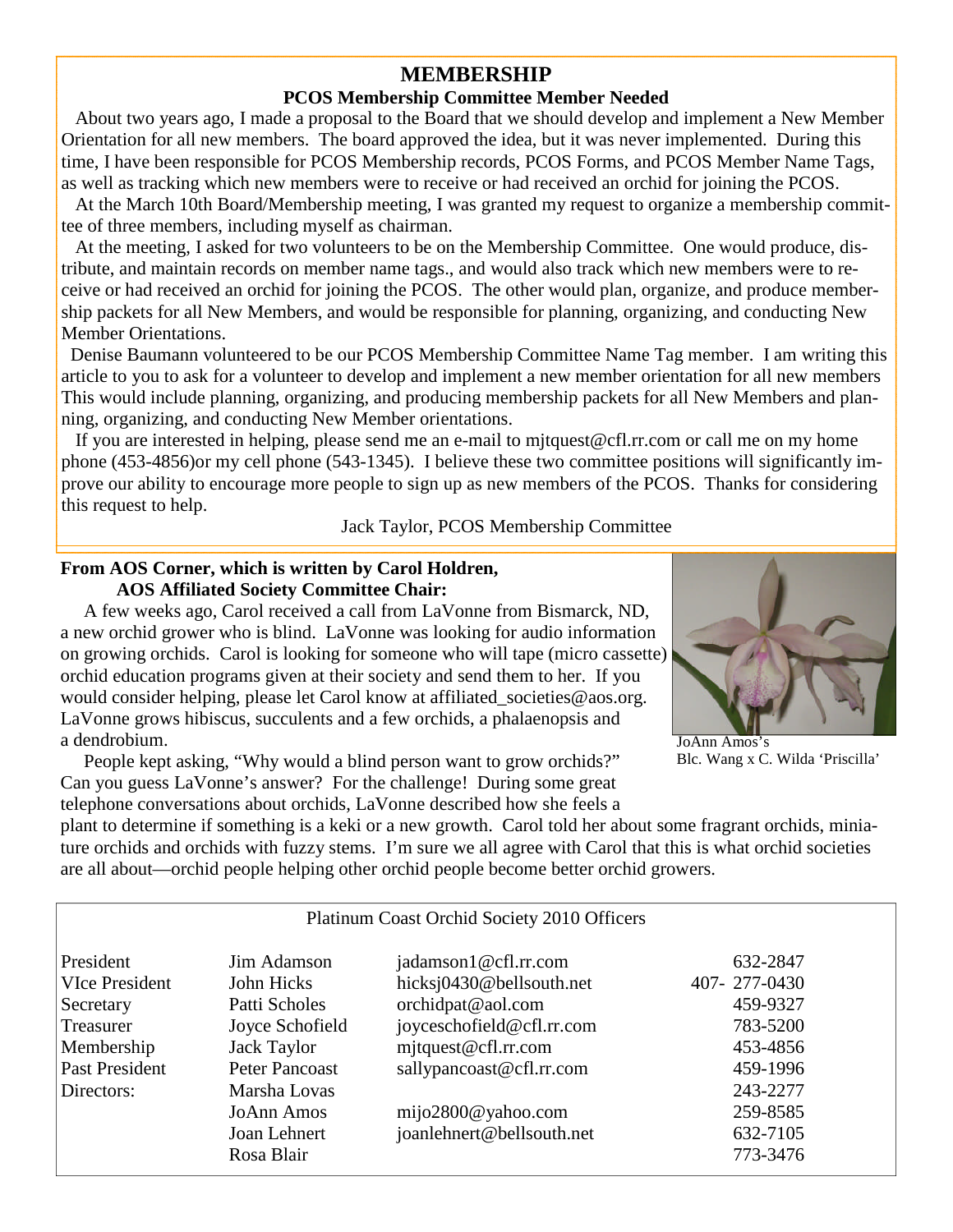## **MEMBERSHIP**

### **PCOS Membership Committee Member Needed**

About two years ago, I made a proposal to the Board that we should develop and implement a New Member Orientation for all new members. The board approved the idea, but it was never implemented. During this time, I have been responsible for PCOS Membership records, PCOS Forms, and PCOS Member Name Tags, as well as tracking which new members were to receive or had received an orchid for joining the PCOS.

At the March 10th Board/Membership meeting, I was granted my request to organize a membership committee of three members, including myself as chairman.

At the meeting, I asked for two volunteers to be on the Membership Committee. One would produce, distribute, and maintain records on member name tags., and would also track which new members were to receive or had received an orchid for joining the PCOS. The other would plan, organize, and produce membership packets for all New Members, and would be responsible for planning, organizing, and conducting New Member Orientations.

Denise Baumann volunteered to be our PCOS Membership Committee Name Tag member. I am writing this article to you to ask for a volunteer to develop and implement a new member orientation for all new members This would include planning, organizing, and producing membership packets for all New Members and planning, organizing, and conducting New Member orientations.

If you are interested in helping, please send me an e-mail to mjtquest@cfl.rr.com or call me on my home phone (453-4856)or my cell phone (543-1345). I believe these two committee positions will significantly improve our ability to encourage more people to sign up as new members of the PCOS. Thanks for considering this request to help.

Jack Taylor, PCOS Membership Committee

### **From AOS Corner, which is written by Carol Holdren, AOS Affiliated Society Committee Chair:**

A few weeks ago, Carol received a call from LaVonne from Bismarck, ND, a new orchid grower who is blind. LaVonne was looking for audio information on growing orchids. Carol is looking for someone who will tape (micro cassette) orchid education programs given at their society and send them to her. If you would consider helping, please let Carol know at affiliated\_societies@aos.org. LaVonne grows hibiscus, succulents and a few orchids, a phalaenopsis and a dendrobium.

People kept asking, "Why would a blind person want to grow orchids?" Can you guess LaVonne's answer? For the challenge! During some great telephone conversations about orchids, LaVonne described how she feels a



JoAnn Amos's Blc. Wang x C. Wilda 'Priscilla'

plant to determine if something is a keki or a new growth. Carol told her about some fragrant orchids, miniature orchids and orchids with fuzzy stems. I'm sure we all agree with Carol that this is what orchid societies are all about—orchid people helping other orchid people become better orchid growers.

| President             | Jim Adamson           | jadamson1@cfl.rr.com      | 632-2847     |
|-----------------------|-----------------------|---------------------------|--------------|
| <b>VIce President</b> | John Hicks            | hicksj0430@bellsouth.net  | 407-277-0430 |
| Secretary             | Patti Scholes         | orchidpat@aol.com         | 459-9327     |
| Treasurer             | Joyce Schofield       | joyceschofield@cfl.rr.com | 783-5200     |
| Membership            | Jack Taylor           | mjtquest@cfl.rr.com       | 453-4856     |
| Past President        | <b>Peter Pancoast</b> | sallypancoast@cfl.rr.com  | 459-1996     |
| Directors:            | Marsha Lovas          |                           | 243-2277     |
|                       | <b>JoAnn Amos</b>     | mijo2800@yahoo.com        | 259-8585     |
|                       | Joan Lehnert          | joanlehnert@bellsouth.net | 632-7105     |
|                       | Rosa Blair            |                           | 773-3476     |